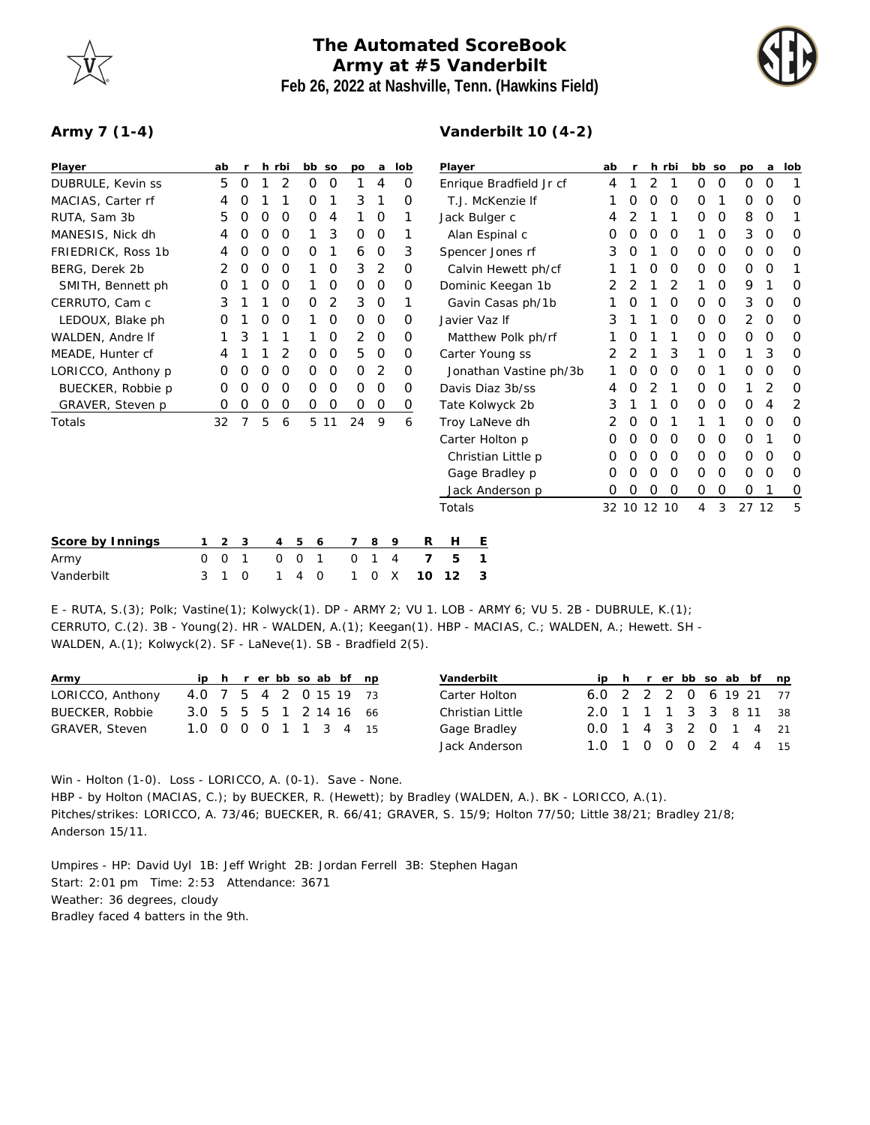## **The Automated ScoreBook Army at #5 Vanderbilt Feb 26, 2022 at Nashville, Tenn. (Hawkins Field)**



## **Army 7 (1-4)**

| Player             |          | ab          | $\mathsf{r}$ |                  | h rbi | bb so         |               | po       | a           | lob |          | Player                  |                 |                    |   | ab          | $\mathsf{r}$ |               | h rbi       | bb so       |             | po            | a        | lob |
|--------------------|----------|-------------|--------------|------------------|-------|---------------|---------------|----------|-------------|-----|----------|-------------------------|-----------------|--------------------|---|-------------|--------------|---------------|-------------|-------------|-------------|---------------|----------|-----|
| DUBRULE, Kevin ss  |          | 5           | O            |                  | 2     | Ο             | O             |          | 4           |     | $\Omega$ | Enrique Bradfield Jr cf |                 |                    | 4 |             | 2            |               | $\Omega$    | $\Omega$    | O           | $\Omega$      |          |     |
| MACIAS, Carter rf  |          | 4           | O            |                  |       | O             |               | 3        |             |     | O        | T.J. McKenzie If        |                 |                    |   | Ο           | Ο            | 0             | $\Omega$    |             | Ο           | O             | O        |     |
| RUTA, Sam 3b       |          | 5           | O            | $\left($         | O     | O             | 4             |          | 0           |     | 1        | Jack Bulger c           |                 |                    | 4 | 2           |              | 1             | 0           | 0           | 8           | $\mathbf 0$   |          |     |
| MANESIS, Nick dh   |          | 4           | O            | O                | O     | 1             | 3             | 0        | $\mathbf 0$ |     | 1        | Alan Espinal c          |                 | 0                  | 0 | 0           | 0            |               | $\Omega$    | 3           | $\mathbf 0$ | Ω             |          |     |
| FRIEDRICK, Ross 1b |          | 4           |              | $\left( \right)$ | O     | Ο             | 1             | 6        | $\mathbf 0$ |     | 3        | Spencer Jones rf        |                 |                    | 3 | O           |              | O             | $\Omega$    | $\Omega$    | 0           | 0             | O        |     |
| BERG, Derek 2b     |          | 2           | 0            | 0                | 0     |               | 0             | 3        | 2           |     | 0        | Calvin Hewett ph/cf     |                 |                    |   |             | 0            | $\mathcal{O}$ | 0           | 0           | 0           | $\mathcal{O}$ |          |     |
| SMITH, Bennett ph  |          | Ο           |              |                  | O     |               | 0             | $\Omega$ | $\mathbf 0$ |     | 0        | Dominic Keegan 1b       |                 |                    | 2 |             |              | 2             |             | $\mathbf 0$ | 9           |               | O        |     |
| CERRUTO, Cam c     |          | 3           |              |                  | O     | 0             | 2             | 3        | $\mathbf 0$ |     | 1        | Gavin Casas ph/1b       |                 |                    |   | Ο           |              | 0             | $\Omega$    | 0           | 3           | 0             | $\Omega$ |     |
| LEDOUX, Blake ph   |          | O           |              |                  | O     |               | $\Omega$      | $\Omega$ | $\Omega$    |     | $\Omega$ | Javier Vaz If           |                 |                    |   | 3           |              |               | O           | $\Omega$    | $\Omega$    | 2             | 0        | O   |
| WALDEN, Andre If   |          |             | 3            |                  |       |               | 0             | 2        | $\mathbf 0$ |     | 0        | Matthew Polk ph/rf      |                 |                    |   |             | 0            |               | 1           | 0           | 0           | 0             | 0        | O   |
| MEADE, Hunter cf   |          | 4           |              |                  | 2     | O             | 0             | 5        | $\mathbf 0$ |     | 0        | Carter Young ss         |                 | 2                  |   |             | 3            |               | $\mathbf 0$ |             | 3           | O             |          |     |
| LORICCO, Anthony p |          | 0           | O            | O                | 0     | O             | 0             | 0        | 2           |     | 0        | Jonathan Vastine ph/3b  |                 |                    | O | Ο           | 0            | $\Omega$      |             | 0           | 0           | O             |          |     |
| BUECKER, Robbie p  |          | 0           | O            | Ω                | 0     | O             | $\mathcal{O}$ | 0        | $\mathbf 0$ |     | 0        | Davis Diaz 3b/ss        |                 |                    |   | 4           | Ω            | 2             |             | 0           | 0           |               | 2        | O   |
| GRAVER, Steven p   |          | 0           | 0            | 0                | 0     | O             | O             | 0        | $\mathbf 0$ |     | 0        | Tate Kolwyck 2b         |                 |                    |   | 3           |              |               | 0           | 0           | $\mathbf 0$ | 0             | 4        | 2   |
| Totals             |          | 32          |              | 5                | 6     | 5             | 11            | 24       | 9           |     | 6        |                         | Troy LaNeve dh  |                    |   | 2           | O            | 0             |             |             |             | 0             | 0        | O   |
|                    |          |             |              |                  |       |               |               |          |             |     |          |                         | Carter Holton p |                    |   | O           | 0            | O             | 0           | 0           | 0           | 0             |          | 0   |
|                    |          |             |              |                  |       |               |               |          |             |     |          |                         |                 | Christian Little p |   | 0           | O            | 0             | 0           | 0           | $\mathbf 0$ | 0             | 0        | O   |
|                    |          |             |              |                  |       |               |               |          |             |     |          |                         | Gage Bradley p  |                    |   | 0           | O            | 0             | 0           | 0           | 0           | 0             | 0        | O   |
|                    |          |             |              |                  |       |               |               |          |             |     |          |                         |                 | Jack Anderson p    |   | Ο           | Ο            | Ο             | 0           | 0           | $\mathbf 0$ | 0             |          | 0   |
|                    |          |             |              |                  |       |               |               |          |             |     |          | Totals                  |                 |                    |   | 32 10 12 10 |              |               |             | 4           | 3           | 27 12         |          | 5   |
| Score by Innings   |          | 2           | 3            |                  | 4     | 5<br>6        |               | 7        | 8           | 9   | R        | Н                       | E               |                    |   |             |              |               |             |             |             |               |          |     |
| Army               | $\Omega$ | $\mathbf 0$ | 1            |                  | 0     | 0<br>1        |               | 0        |             | 4   | 7        | 5                       | 1               |                    |   |             |              |               |             |             |             |               |          |     |
| Vanderbilt         | 3        |             | $\Omega$     |                  |       | $\Omega$<br>4 |               |          | ∩           | Х   | 10       | 12                      | 3               |                    |   |             |              |               |             |             |             |               |          |     |

E - RUTA, S.(3); Polk; Vastine(1); Kolwyck(1). DP - ARMY 2; VU 1. LOB - ARMY 6; VU 5. 2B - DUBRULE, K.(1); CERRUTO, C.(2). 3B - Young(2). HR - WALDEN, A.(1); Keegan(1). HBP - MACIAS, C.; WALDEN, A.; Hewett. SH - WALDEN, A.(1); Kolwyck(2). SF - LaNeve(1). SB - Bradfield 2(5).

| Army                  |                        |  |  |  | ip h r er bb so ab bf np |  | Vanderbilt              |                        |  |  |  | ip h r er bb so ab bf np |
|-----------------------|------------------------|--|--|--|--------------------------|--|-------------------------|------------------------|--|--|--|--------------------------|
| LORICCO, Anthony      | 4.0 7 5 4 2 0 15 19 73 |  |  |  |                          |  | Carter Holton           | 6.0 2 2 2 0 6 19 21 77 |  |  |  |                          |
| BUECKER, Robbie       | 3.0 5 5 5 1 2 14 16 66 |  |  |  |                          |  | <b>Christian Little</b> | 2.0 1 1 1 3 3 8 11 38  |  |  |  |                          |
| <b>GRAVER, Steven</b> | 1.0 0 0 0 1 1 3 4 15   |  |  |  |                          |  | Gage Bradley            | 0.0 1 4 3 2 0 1 4 21   |  |  |  |                          |
|                       |                        |  |  |  |                          |  | Jack Anderson           | 1.0 1 0 0 0 2 4 4 15   |  |  |  |                          |

Win - Holton (1-0). Loss - LORICCO, A. (0-1). Save - None. HBP - by Holton (MACIAS, C.); by BUECKER, R. (Hewett); by Bradley (WALDEN, A.). BK - LORICCO, A.(1). Pitches/strikes: LORICCO, A. 73/46; BUECKER, R. 66/41; GRAVER, S. 15/9; Holton 77/50; Little 38/21; Bradley 21/8; Anderson 15/11.

Umpires - HP: David Uyl 1B: Jeff Wright 2B: Jordan Ferrell 3B: Stephen Hagan Start: 2:01 pm Time: 2:53 Attendance: 3671 Weather: 36 degrees, cloudy Bradley faced 4 batters in the 9th.

## **Vanderbilt 10 (4-2)**